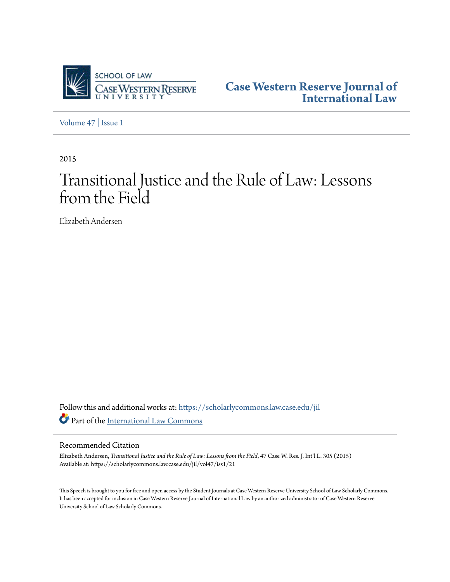

**[Case Western Reserve Journal of](https://scholarlycommons.law.case.edu/jil?utm_source=scholarlycommons.law.case.edu%2Fjil%2Fvol47%2Fiss1%2F21&utm_medium=PDF&utm_campaign=PDFCoverPages) [International Law](https://scholarlycommons.law.case.edu/jil?utm_source=scholarlycommons.law.case.edu%2Fjil%2Fvol47%2Fiss1%2F21&utm_medium=PDF&utm_campaign=PDFCoverPages)**

[Volume 47](https://scholarlycommons.law.case.edu/jil/vol47?utm_source=scholarlycommons.law.case.edu%2Fjil%2Fvol47%2Fiss1%2F21&utm_medium=PDF&utm_campaign=PDFCoverPages) | [Issue 1](https://scholarlycommons.law.case.edu/jil/vol47/iss1?utm_source=scholarlycommons.law.case.edu%2Fjil%2Fvol47%2Fiss1%2F21&utm_medium=PDF&utm_campaign=PDFCoverPages)

2015

# Transitional Justice and the Rule of Law: Lessons from the Field

Elizabeth Andersen

Follow this and additional works at: [https://scholarlycommons.law.case.edu/jil](https://scholarlycommons.law.case.edu/jil?utm_source=scholarlycommons.law.case.edu%2Fjil%2Fvol47%2Fiss1%2F21&utm_medium=PDF&utm_campaign=PDFCoverPages) Part of the [International Law Commons](http://network.bepress.com/hgg/discipline/609?utm_source=scholarlycommons.law.case.edu%2Fjil%2Fvol47%2Fiss1%2F21&utm_medium=PDF&utm_campaign=PDFCoverPages)

#### Recommended Citation

Elizabeth Andersen, *Transitional Justice and the Rule of Law: Lessons from the Field*, 47 Case W. Res. J. Int'l L. 305 (2015) Available at: https://scholarlycommons.law.case.edu/jil/vol47/iss1/21

This Speech is brought to you for free and open access by the Student Journals at Case Western Reserve University School of Law Scholarly Commons. It has been accepted for inclusion in Case Western Reserve Journal of International Law by an authorized administrator of Case Western Reserve University School of Law Scholarly Commons.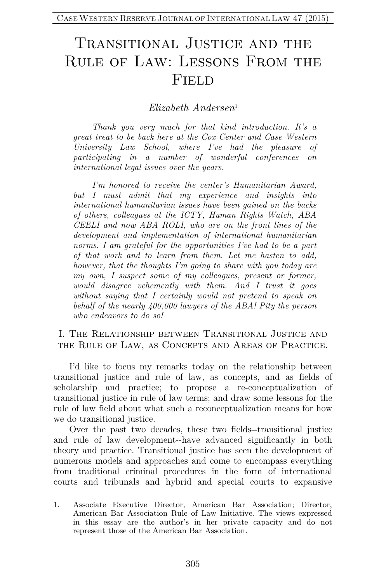# Transitional Justice and the Rule of Law: Lessons From the **FIELD**

*Elizabeth Andersen*[1](#page-1-0)

*Thank you very much for that kind introduction. It's a great treat to be back here at the Cox Center and Case Western University Law School, where I've had the pleasure of participating in a number of wonderful conferences on international legal issues over the years.* 

*I'm honored to receive the center's Humanitarian Award, but I must admit that my experience and insights into international humanitarian issues have been gained on the backs of others, colleagues at the ICTY, Human Rights Watch, ABA CEELI and now ABA ROLI, who are on the front lines of the development and implementation of international humanitarian norms. I am grateful for the opportunities I've had to be a part of that work and to learn from them. Let me hasten to add, however, that the thoughts I'm going to share with you today are my own, I suspect some of my colleagues, present or former, would disagree vehemently with them. And I trust it goes without saying that I certainly would not pretend to speak on behalf of the nearly 400,000 lawyers of the ABA! Pity the person who endeavors to do so!*

#### I. The Relationship between Transitional Justice and the Rule of Law, as Concepts and Areas of Practice.

I'd like to focus my remarks today on the relationship between transitional justice and rule of law, as concepts, and as fields of scholarship and practice; to propose a re-conceptualization of transitional justice in rule of law terms; and draw some lessons for the rule of law field about what such a reconceptualization means for how we do transitional justice.

Over the past two decades, these two fields--transitional justice and rule of law development--have advanced significantly in both theory and practice. Transitional justice has seen the development of numerous models and approaches and come to encompass everything from traditional criminal procedures in the form of international courts and tribunals and hybrid and special courts to expansive

<span id="page-1-0"></span><sup>1.</sup> Associate Executive Director, American Bar Association; Director, American Bar Association Rule of Law Initiative. The views expressed in this essay are the author's in her private capacity and do not represent those of the American Bar Association.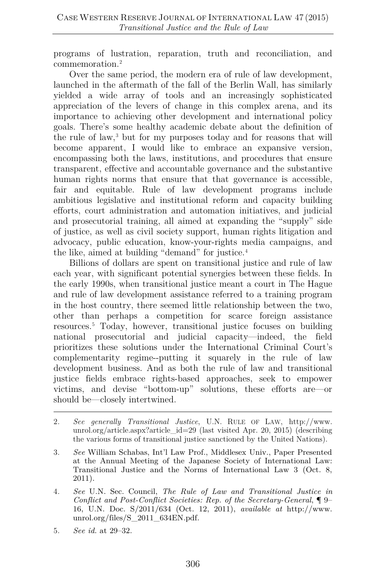programs of lustration, reparation, truth and reconciliation, and commemoration.[2](#page-2-0)

Over the same period, the modern era of rule of law development, launched in the aftermath of the fall of the Berlin Wall, has similarly yielded a wide array of tools and an increasingly sophisticated appreciation of the levers of change in this complex arena, and its importance to achieving other development and international policy goals. There's some healthy academic debate about the definition of the rule of law,[3](#page-2-1) but for my purposes today and for reasons that will become apparent, I would like to embrace an expansive version, encompassing both the laws, institutions, and procedures that ensure transparent, effective and accountable governance and the substantive human rights norms that ensure that that governance is accessible, fair and equitable. Rule of law development programs include ambitious legislative and institutional reform and capacity building efforts, court administration and automation initiatives, and judicial and prosecutorial training, all aimed at expanding the "supply" side of justice, as well as civil society support, human rights litigation and advocacy, public education, know-your-rights media campaigns, and the like, aimed at building "demand" for justice.<sup>[4](#page-2-2)</sup>

Billions of dollars are spent on transitional justice and rule of law each year, with significant potential synergies between these fields. In the early 1990s, when transitional justice meant a court in The Hague and rule of law development assistance referred to a training program in the host country, there seemed little relationship between the two, other than perhaps a competition for scarce foreign assistance resources.[5](#page-2-3) Today, however, transitional justice focuses on building national prosecutorial and judicial capacity—indeed, the field prioritizes these solutions under the International Criminal Court's complementarity regime--putting it squarely in the rule of law development business. And as both the rule of law and transitional justice fields embrace rights-based approaches, seek to empower victims, and devise "bottom-up" solutions, these efforts are—or should be—closely intertwined.

- <span id="page-2-0"></span>2*. See generally Transitional Justice*, U.N. RULE OF LAW, http://www. unrol.org/article.aspx?article\_id=29 (last visited Apr. 20, 2015) (describing the various forms of transitional justice sanctioned by the United Nations).
- <span id="page-2-1"></span>3*. See* William Schabas, Int'l Law Prof., Middlesex Univ., Paper Presented at the Annual Meeting of the Japanese Society of International Law: Transitional Justice and the Norms of International Law 3 (Oct. 8, 2011).
- <span id="page-2-2"></span>4*. See* U.N. Sec. Council, *The Rule of Law and Transitional Justice in Conflict and Post-Conflict Societies: Rep. of the Secretary-General*, ¶ 9– 16, U.N. Doc. S/2011/634 (Oct. 12, 2011), *available at* http://www. unrol.org/files/S\_2011\_634EN.pdf.
- <span id="page-2-3"></span>5*. See id.* at 29–32.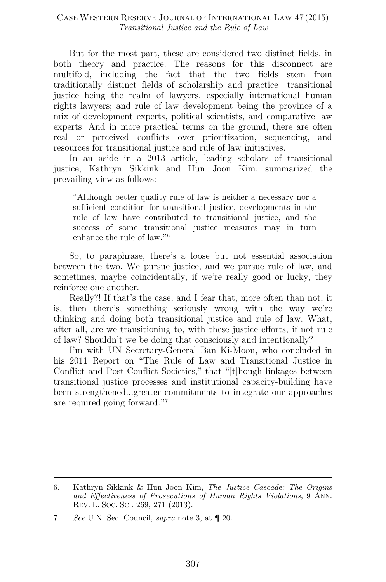But for the most part, these are considered two distinct fields, in both theory and practice. The reasons for this disconnect are multifold, including the fact that the two fields stem from traditionally distinct fields of scholarship and practice—transitional justice being the realm of lawyers, especially international human rights lawyers; and rule of law development being the province of a mix of development experts, political scientists, and comparative law experts. And in more practical terms on the ground, there are often real or perceived conflicts over prioritization, sequencing, and resources for transitional justice and rule of law initiatives.

In an aside in a 2013 article, leading scholars of transitional justice, Kathryn Sikkink and Hun Joon Kim, summarized the prevailing view as follows:

"Although better quality rule of law is neither a necessary nor a sufficient condition for transitional justice, developments in the rule of law have contributed to transitional justice, and the success of some transitional justice measures may in turn enhance the rule of law."[6](#page-3-0)

So, to paraphrase, there's a loose but not essential association between the two. We pursue justice, and we pursue rule of law, and sometimes, maybe coincidentally, if we're really good or lucky, they reinforce one another.

Really?! If that's the case, and I fear that, more often than not, it is, then there's something seriously wrong with the way we're thinking and doing both transitional justice and rule of law. What, after all, are we transitioning to, with these justice efforts, if not rule of law? Shouldn't we be doing that consciously and intentionally?

I'm with UN Secretary-General Ban Ki-Moon, who concluded in his 2011 Report on "The Rule of Law and Transitional Justice in Conflict and Post-Conflict Societies," that "[t]hough linkages between transitional justice processes and institutional capacity-building have been strengthened...greater commitments to integrate our approaches are required going forward."[7](#page-3-1)

<span id="page-3-0"></span><sup>6.</sup> Kathryn Sikkink & Hun Joon Kim, *The Justice Cascade: The Origins and Effectiveness of Prosecutions of Human Rights Violations*, 9 ANN. REV. L. SOC. SCI. 269, 271 (2013).

<span id="page-3-1"></span><sup>7</sup>*. See* U.N. Sec. Council, *supra* note 3, at ¶ 20.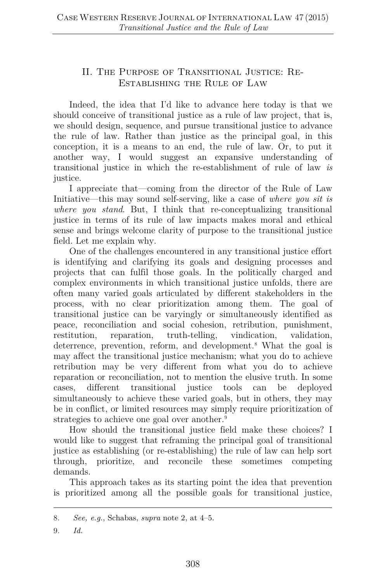# II. The Purpose of Transitional Justice: Re-Establishing the Rule of Law

Indeed, the idea that I'd like to advance here today is that we should conceive of transitional justice as a rule of law project, that is, we should design, sequence, and pursue transitional justice to advance the rule of law. Rather than justice as the principal goal, in this conception, it is a means to an end, the rule of law. Or, to put it another way, I would suggest an expansive understanding of transitional justice in which the re-establishment of rule of law *is* justice.

I appreciate that—coming from the director of the Rule of Law Initiative—this may sound self-serving, like a case of *where you sit is where you stand*. But, I think that re-conceptualizing transitional justice in terms of its rule of law impacts makes moral and ethical sense and brings welcome clarity of purpose to the transitional justice field. Let me explain why.

One of the challenges encountered in any transitional justice effort is identifying and clarifying its goals and designing processes and projects that can fulfil those goals. In the politically charged and complex environments in which transitional justice unfolds, there are often many varied goals articulated by different stakeholders in the process, with no clear prioritization among them. The goal of transitional justice can be varyingly or simultaneously identified as peace, reconciliation and social cohesion, retribution, punishment, restitution, reparation, truth-telling, vindication, validation, deterrence, prevention, reform, and development.[8](#page-4-0) What the goal is may affect the transitional justice mechanism; what you do to achieve retribution may be very different from what you do to achieve reparation or reconciliation, not to mention the elusive truth. In some cases, different transitional justice tools can be deployed simultaneously to achieve these varied goals, but in others, they may be in conflict, or limited resources may simply require prioritization of strategies to achieve one goal over another.<sup>[9](#page-4-1)</sup>

How should the transitional justice field make these choices? I would like to suggest that reframing the principal goal of transitional justice as establishing (or re-establishing) the rule of law can help sort through, prioritize, and reconcile these sometimes competing demands.

This approach takes as its starting point the idea that prevention is prioritized among all the possible goals for transitional justice,

<span id="page-4-1"></span>9*. Id.*

<span id="page-4-0"></span><sup>8</sup>*. See, e.g.*, Schabas, *supra* note 2, at 4–5.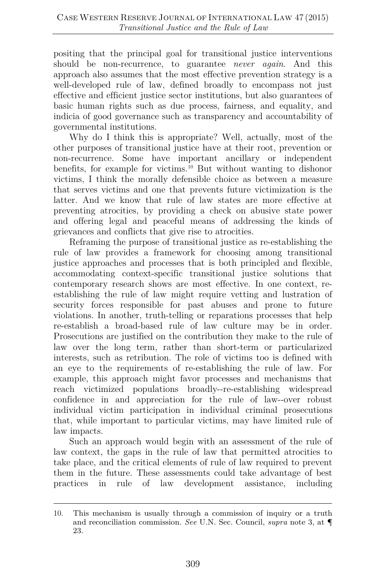positing that the principal goal for transitional justice interventions should be non-recurrence, to guarantee *never again*. And this approach also assumes that the most effective prevention strategy is a well-developed rule of law, defined broadly to encompass not just effective and efficient justice sector institutions, but also guarantees of basic human rights such as due process, fairness, and equality, and indicia of good governance such as transparency and accountability of governmental institutions.

Why do I think this is appropriate? Well, actually, most of the other purposes of transitional justice have at their root, prevention or non-recurrence. Some have important ancillary or independent benefits, for example for victims.[10](#page-5-0) But without wanting to dishonor victims, I think the morally defensible choice as between a measure that serves victims and one that prevents future victimization is the latter. And we know that rule of law states are more effective at preventing atrocities, by providing a check on abusive state power and offering legal and peaceful means of addressing the kinds of grievances and conflicts that give rise to atrocities.

Reframing the purpose of transitional justice as re-establishing the rule of law provides a framework for choosing among transitional justice approaches and processes that is both principled and flexible, accommodating context-specific transitional justice solutions that contemporary research shows are most effective. In one context, reestablishing the rule of law might require vetting and lustration of security forces responsible for past abuses and prone to future violations. In another, truth-telling or reparations processes that help re-establish a broad-based rule of law culture may be in order. Prosecutions are justified on the contribution they make to the rule of law over the long term, rather than short-term or particularized interests, such as retribution. The role of victims too is defined with an eye to the requirements of re-establishing the rule of law. For example, this approach might favor processes and mechanisms that reach victimized populations broadly--re-establishing widespread confidence in and appreciation for the rule of law--over robust individual victim participation in individual criminal prosecutions that, while important to particular victims, may have limited rule of law impacts.

Such an approach would begin with an assessment of the rule of law context, the gaps in the rule of law that permitted atrocities to take place, and the critical elements of rule of law required to prevent them in the future. These assessments could take advantage of best practices in rule of law development assistance, including

<span id="page-5-0"></span><sup>10.</sup> This mechanism is usually through a commission of inquiry or a truth and reconciliation commission. *See* U.N. Sec. Council, *supra* note 3, at ¶ 23.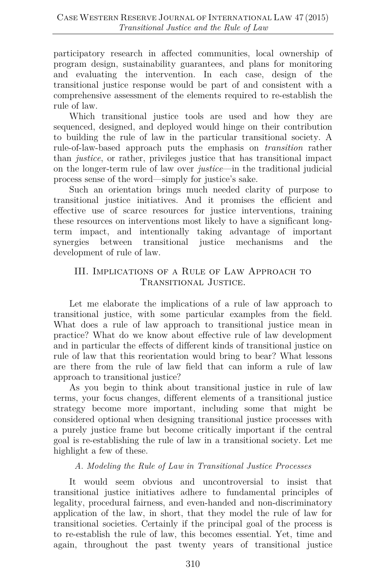participatory research in affected communities, local ownership of program design, sustainability guarantees, and plans for monitoring and evaluating the intervention. In each case, design of the transitional justice response would be part of and consistent with a comprehensive assessment of the elements required to re-establish the rule of law.

Which transitional justice tools are used and how they are sequenced, designed, and deployed would hinge on their contribution to building the rule of law in the particular transitional society. A rule-of-law-based approach puts the emphasis on *transition* rather than *justice*, or rather, privileges justice that has transitional impact on the longer-term rule of law over *justice*—in the traditional judicial process sense of the word—simply for justice's sake.

Such an orientation brings much needed clarity of purpose to transitional justice initiatives. And it promises the efficient and effective use of scarce resources for justice interventions, training these resources on interventions most likely to have a significant longterm impact, and intentionally taking advantage of important synergies between transitional justice mechanisms and the development of rule of law.

## III. Implications of a Rule of Law Approach to Transitional Justice.

Let me elaborate the implications of a rule of law approach to transitional justice, with some particular examples from the field. What does a rule of law approach to transitional justice mean in practice? What do we know about effective rule of law development and in particular the effects of different kinds of transitional justice on rule of law that this reorientation would bring to bear? What lessons are there from the rule of law field that can inform a rule of law approach to transitional justice?

As you begin to think about transitional justice in rule of law terms, your focus changes, different elements of a transitional justice strategy become more important, including some that might be considered optional when designing transitional justice processes with a purely justice frame but become critically important if the central goal is re-establishing the rule of law in a transitional society. Let me highlight a few of these.

## *A. Modeling the Rule of Law in Transitional Justice Processes*

It would seem obvious and uncontroversial to insist that transitional justice initiatives adhere to fundamental principles of legality, procedural fairness, and even-handed and non-discriminatory application of the law, in short, that they model the rule of law for transitional societies. Certainly if the principal goal of the process is to re-establish the rule of law, this becomes essential. Yet, time and again, throughout the past twenty years of transitional justice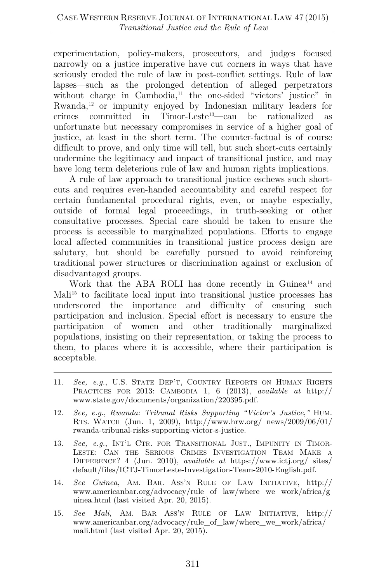experimentation, policy-makers, prosecutors, and judges focused narrowly on a justice imperative have cut corners in ways that have seriously eroded the rule of law in post-conflict settings. Rule of law lapses—such as the prolonged detention of alleged perpetrators without charge in Cambodia,<sup>11</sup> the one-sided "victors' justice" in Rwanda,[12](#page-7-1) or impunity enjoyed by Indonesian military leaders for crimes committed in Timor-Leste[13](#page-7-2)—can be rationalized as unfortunate but necessary compromises in service of a higher goal of justice, at least in the short term. The counter-factual is of course difficult to prove, and only time will tell, but such short-cuts certainly undermine the legitimacy and impact of transitional justice, and may have long term deleterious rule of law and human rights implications.

A rule of law approach to transitional justice eschews such shortcuts and requires even-handed accountability and careful respect for certain fundamental procedural rights, even, or maybe especially, outside of formal legal proceedings, in truth-seeking or other consultative processes. Special care should be taken to ensure the process is accessible to marginalized populations. Efforts to engage local affected communities in transitional justice process design are salutary, but should be carefully pursued to avoid reinforcing traditional power structures or discrimination against or exclusion of disadvantaged groups.

Work that the ABA ROLI has done recently in Guinea<sup>14</sup> and Mali<sup>[15](#page-7-4)</sup> to facilitate local input into transitional justice processes has underscored the importance and difficulty of ensuring such participation and inclusion. Special effort is necessary to ensure the participation of women and other traditionally marginalized populations, insisting on their representation, or taking the process to them, to places where it is accessible, where their participation is acceptable.

- <span id="page-7-0"></span>11*. See, e.g.*, U.S. STATE DEP'T, COUNTRY REPORTS ON HUMAN RIGHTS PRACTICES FOR 2013: CAMBODIA 1, 6 (2013), *available at* http:// www.state.gov/documents/organization/220395.pdf.
- <span id="page-7-1"></span>12*. See, e.g.*, *Rwanda: Tribunal Risks Supporting "Victor's Justice*,*"* HUM. RTS. WATCH (Jun. 1, 2009), http://www.hrw.org/ news/2009/06/01/ rwanda-tribunal-risks-supporting-victor-s-justice.
- <span id="page-7-2"></span>13*. See, e.g.*, INT'L CTR. FOR TRANSITIONAL JUST., IMPUNITY IN TIMOR-LESTE: CAN THE SERIOUS CRIMES INVESTIGATION TEAM MAKE A DIFFERENCE? 4 (Jun. 2010), *available at* https://www.ictj.org/ sites/ default/files/ICTJ-TimorLeste-Investigation-Team-2010-English.pdf.
- <span id="page-7-3"></span>14*. See Guinea*, AM. BAR. ASS'N RULE OF LAW INITIATIVE, http:// www.americanbar.org/advocacy/rule\_of\_law/where\_we\_work/africa/g uinea.html (last visited Apr. 20, 2015).
- <span id="page-7-4"></span>15*. See Mali*, AM. BAR ASS'N RULE OF LAW INITIATIVE, http:// www.americanbar.org/advocacy/rule\_of\_law/where\_we\_work/africa/ mali.html (last visited Apr. 20, 2015).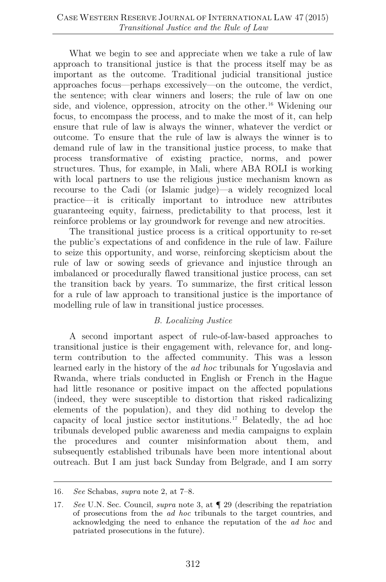What we begin to see and appreciate when we take a rule of law approach to transitional justice is that the process itself may be as important as the outcome. Traditional judicial transitional justice approaches focus—perhaps excessively—on the outcome, the verdict, the sentence; with clear winners and losers; the rule of law on one side, and violence, oppression, atrocity on the other.<sup>16</sup> Widening our focus, to encompass the process, and to make the most of it, can help ensure that rule of law is always the winner, whatever the verdict or outcome. To ensure that the rule of law is always the winner is to demand rule of law in the transitional justice process, to make that process transformative of existing practice, norms, and power structures. Thus, for example, in Mali, where ABA ROLI is working with local partners to use the religious justice mechanism known as recourse to the Cadi (or Islamic judge)—a widely recognized local practice—it is critically important to introduce new attributes guaranteeing equity, fairness, predictability to that process, lest it reinforce problems or lay groundwork for revenge and new atrocities.

The transitional justice process is a critical opportunity to re-set the public's expectations of and confidence in the rule of law. Failure to seize this opportunity, and worse, reinforcing skepticism about the rule of law or sowing seeds of grievance and injustice through an imbalanced or procedurally flawed transitional justice process, can set the transition back by years. To summarize, the first critical lesson for a rule of law approach to transitional justice is the importance of modelling rule of law in transitional justice processes.

#### *B. Localizing Justice*

A second important aspect of rule-of-law-based approaches to transitional justice is their engagement with, relevance for, and longterm contribution to the affected community. This was a lesson learned early in the history of the *ad hoc* tribunals for Yugoslavia and Rwanda, where trials conducted in English or French in the Hague had little resonance or positive impact on the affected populations (indeed, they were susceptible to distortion that risked radicalizing elements of the population), and they did nothing to develop the capacity of local justice sector institutions.[17](#page-8-1) Belatedly, the ad hoc tribunals developed public awareness and media campaigns to explain the procedures and counter misinformation about them, and subsequently established tribunals have been more intentional about outreach. But I am just back Sunday from Belgrade, and I am sorry

<span id="page-8-0"></span><sup>16</sup>*. See* Schabas, *supra* note 2, at 7–8.

<span id="page-8-1"></span><sup>17</sup>*. See* U.N. Sec. Council, *supra* note 3, at ¶ 29 (describing the repatriation of prosecutions from the *ad hoc* tribunals to the target countries, and acknowledging the need to enhance the reputation of the *ad hoc* and patriated prosecutions in the future).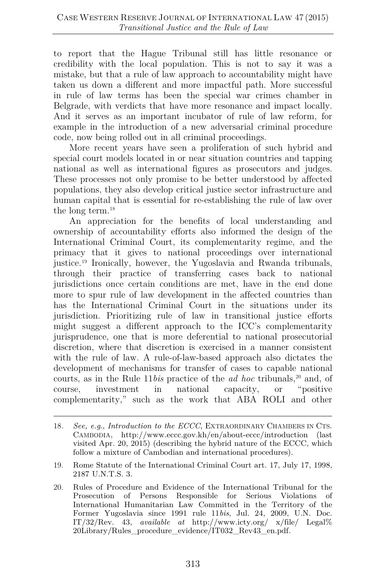to report that the Hague Tribunal still has little resonance or credibility with the local population. This is not to say it was a mistake, but that a rule of law approach to accountability might have taken us down a different and more impactful path. More successful in rule of law terms has been the special war crimes chamber in Belgrade, with verdicts that have more resonance and impact locally. And it serves as an important incubator of rule of law reform, for example in the introduction of a new adversarial criminal procedure code, now being rolled out in all criminal proceedings.

More recent years have seen a proliferation of such hybrid and special court models located in or near situation countries and tapping national as well as international figures as prosecutors and judges. These processes not only promise to be better understood by affected populations, they also develop critical justice sector infrastructure and human capital that is essential for re-establishing the rule of law over the long term.[18](#page-9-0)

An appreciation for the benefits of local understanding and ownership of accountability efforts also informed the design of the International Criminal Court, its complementarity regime, and the primacy that it gives to national proceedings over international justice[.19](#page-9-1) Ironically, however, the Yugoslavia and Rwanda tribunals, through their practice of transferring cases back to national jurisdictions once certain conditions are met, have in the end done more to spur rule of law development in the affected countries than has the International Criminal Court in the situations under its jurisdiction. Prioritizing rule of law in transitional justice efforts might suggest a different approach to the ICC's complementarity jurisprudence, one that is more deferential to national prosecutorial discretion, where that discretion is exercised in a manner consistent with the rule of law. A rule-of-law-based approach also dictates the development of mechanisms for transfer of cases to capable national courts, as in the Rule 11*bis* practice of the *ad hoc* tribunals,<sup>[20](#page-9-2)</sup> and, of course, investment in national capacity, or "positive complementarity," such as the work that ABA ROLI and other

- <span id="page-9-1"></span>19. Rome Statute of the International Criminal Court art. 17, July 17, 1998, 2187 U.N.T.S. 3.
- <span id="page-9-2"></span>20. Rules of Procedure and Evidence of the International Tribunal for the Prosecution of Persons Responsible for Serious Violations of International Humanitarian Law Committed in the Territory of the Former Yugoslavia since 1991 rule 11*bis*, Jul. 24, 2009, U.N. Doc. IT/32/Rev. 43, *available at* http://www.icty.org/ x/file/ Legal% 20Library/Rules\_procedure\_evidence/IT032\_Rev43\_en.pdf.

<span id="page-9-0"></span><sup>18</sup>*. See, e.g*., *Introduction to the ECCC*, EXTRAORDINARY CHAMBERS IN CTS. CAMBODIA, http://www.eccc.gov.kh/en/about-eccc/introduction (last visited Apr. 20, 2015) (describing the hybrid nature of the ECCC, which follow a mixture of Cambodian and international procedures).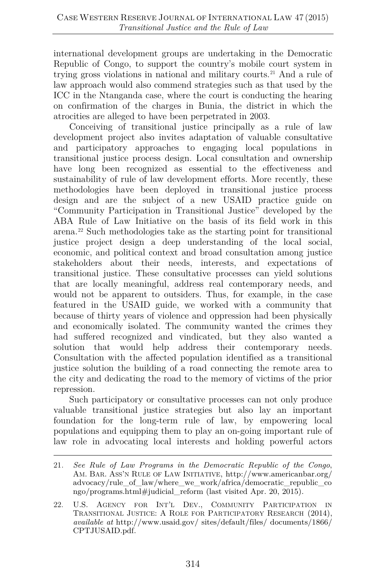international development groups are undertaking in the Democratic Republic of Congo, to support the country's mobile court system in trying gross violations in national and military courts.[21](#page-10-0) And a rule of law approach would also commend strategies such as that used by the ICC in the Ntanganda case, where the court is conducting the hearing on confirmation of the charges in Bunia, the district in which the atrocities are alleged to have been perpetrated in 2003.

Conceiving of transitional justice principally as a rule of law development project also invites adaptation of valuable consultative and participatory approaches to engaging local populations in transitional justice process design. Local consultation and ownership have long been recognized as essential to the effectiveness and sustainability of rule of law development efforts. More recently, these methodologies have been deployed in transitional justice process design and are the subject of a new USAID practice guide on "Community Participation in Transitional Justice" developed by the ABA Rule of Law Initiative on the basis of its field work in this arena.[22](#page-10-1) Such methodologies take as the starting point for transitional justice project design a deep understanding of the local social, economic, and political context and broad consultation among justice stakeholders about their needs, interests, and expectations of transitional justice. These consultative processes can yield solutions that are locally meaningful, address real contemporary needs, and would not be apparent to outsiders. Thus, for example, in the case featured in the USAID guide, we worked with a community that because of thirty years of violence and oppression had been physically and economically isolated. The community wanted the crimes they had suffered recognized and vindicated, but they also wanted a solution that would help address their contemporary needs. Consultation with the affected population identified as a transitional justice solution the building of a road connecting the remote area to the city and dedicating the road to the memory of victims of the prior repression.

Such participatory or consultative processes can not only produce valuable transitional justice strategies but also lay an important foundation for the long-term rule of law, by empowering local populations and equipping them to play an on-going important rule of law role in advocating local interests and holding powerful actors

<span id="page-10-0"></span><sup>21</sup>*. See Rule of Law Programs in the Democratic Republic of the Congo*, AM. BAR. ASS'N RULE OF LAW INITIATIVE, http://www.americanbar.org/ advocacy/rule\_of\_law/where\_we\_work/africa/democratic\_republic\_co ngo/programs.html#judicial\_reform (last visited Apr. 20, 2015).

<span id="page-10-1"></span><sup>22.</sup> U.S. AGENCY FOR INT'L DEV., COMMUNITY PARTICIPATION IN TRANSITIONAL JUSTICE: A ROLE FOR PARTICIPATORY RESEARCH (2014), *available at* http://www.usaid.gov/ sites/default/files/ documents/1866/ CPTJUSAID.pdf.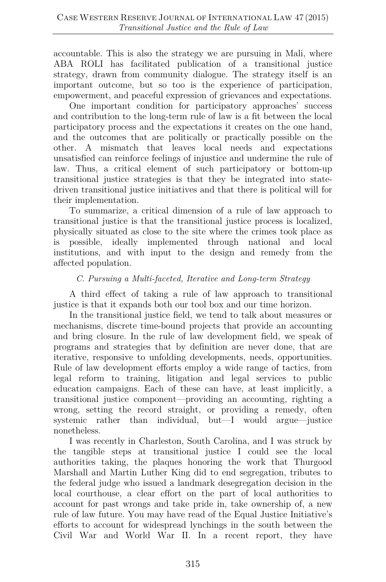accountable. This is also the strategy we are pursuing in Mali, where ABA ROLI has facilitated publication of a transitional justice strategy, drawn from community dialogue. The strategy itself is an important outcome, but so too is the experience of participation, empowerment, and peaceful expression of grievances and expectations.

One important condition for participatory approaches' success and contribution to the long-term rule of law is a fit between the local participatory process and the expectations it creates on the one hand, and the outcomes that are politically or practically possible on the other. A mismatch that leaves local needs and expectations unsatisfied can reinforce feelings of injustice and undermine the rule of law. Thus, a critical element of such participatory or bottom-up transitional justice strategies is that they be integrated into statedriven transitional justice initiatives and that there is political will for their implementation.

To summarize, a critical dimension of a rule of law approach to transitional justice is that the transitional justice process is localized, physically situated as close to the site where the crimes took place as is possible, ideally implemented through national and local institutions, and with input to the design and remedy from the affected population.

#### *C. Pursuing a Multi-faceted, Iterative and Long-term Strategy*

A third effect of taking a rule of law approach to transitional justice is that it expands both our tool box and our time horizon.

In the transitional justice field, we tend to talk about measures or mechanisms, discrete time-bound projects that provide an accounting and bring closure. In the rule of law development field, we speak of programs and strategies that by definition are never done, that are iterative, responsive to unfolding developments, needs, opportunities. Rule of law development efforts employ a wide range of tactics, from legal reform to training, litigation and legal services to public education campaigns. Each of these can have, at least implicitly, a transitional justice component—providing an accounting, righting a wrong, setting the record straight, or providing a remedy, often systemic rather than individual, but—I would argue—justice nonetheless.

I was recently in Charleston, South Carolina, and I was struck by the tangible steps at transitional justice I could see the local authorities taking, the plaques honoring the work that Thurgood Marshall and Martin Luther King did to end segregation, tributes to the federal judge who issued a landmark desegregation decision in the local courthouse, a clear effort on the part of local authorities to account for past wrongs and take pride in, take ownership of, a new rule of law future. You may have read of the Equal Justice Initiative's efforts to account for widespread lynchings in the south between the Civil War and World War II. In a recent report, they have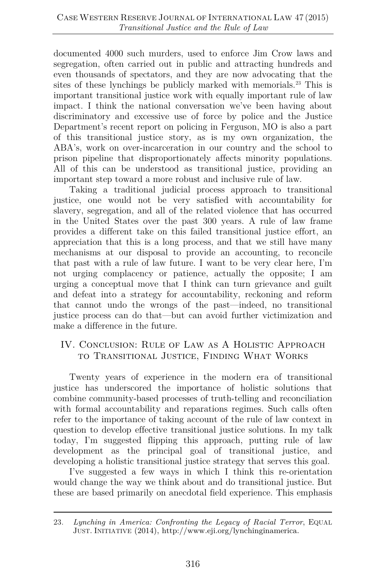documented 4000 such murders, used to enforce Jim Crow laws and segregation, often carried out in public and attracting hundreds and even thousands of spectators, and they are now advocating that the sites of these lynchings be publicly marked with memorials.<sup>[23](#page-12-0)</sup> This is important transitional justice work with equally important rule of law impact. I think the national conversation we've been having about discriminatory and excessive use of force by police and the Justice Department's recent report on policing in Ferguson, MO is also a part of this transitional justice story, as is my own organization, the ABA's, work on over-incarceration in our country and the school to prison pipeline that disproportionately affects minority populations. All of this can be understood as transitional justice, providing an important step toward a more robust and inclusive rule of law.

Taking a traditional judicial process approach to transitional justice, one would not be very satisfied with accountability for slavery, segregation, and all of the related violence that has occurred in the United States over the past 300 years. A rule of law frame provides a different take on this failed transitional justice effort, an appreciation that this is a long process, and that we still have many mechanisms at our disposal to provide an accounting, to reconcile that past with a rule of law future. I want to be very clear here, I'm not urging complacency or patience, actually the opposite; I am urging a conceptual move that I think can turn grievance and guilt and defeat into a strategy for accountability, reckoning and reform that cannot undo the wrongs of the past—indeed, no transitional justice process can do that—but can avoid further victimization and make a difference in the future.

# IV. Conclusion: Rule of Law as A Holistic Approach to Transitional Justice, Finding What Works

Twenty years of experience in the modern era of transitional justice has underscored the importance of holistic solutions that combine community-based processes of truth-telling and reconciliation with formal accountability and reparations regimes. Such calls often refer to the importance of taking account of the rule of law context in question to develop effective transitional justice solutions. In my talk today, I'm suggested flipping this approach, putting rule of law development as the principal goal of transitional justice, and developing a holistic transitional justice strategy that serves this goal.

I've suggested a few ways in which I think this re-orientation would change the way we think about and do transitional justice. But these are based primarily on anecdotal field experience. This emphasis

<span id="page-12-0"></span><sup>23</sup>*. Lynching in America: Confronting the Legacy of Racial Terror*, EQUAL JUST. INITIATIVE (2014), http://www.eji.org/lynchinginamerica.